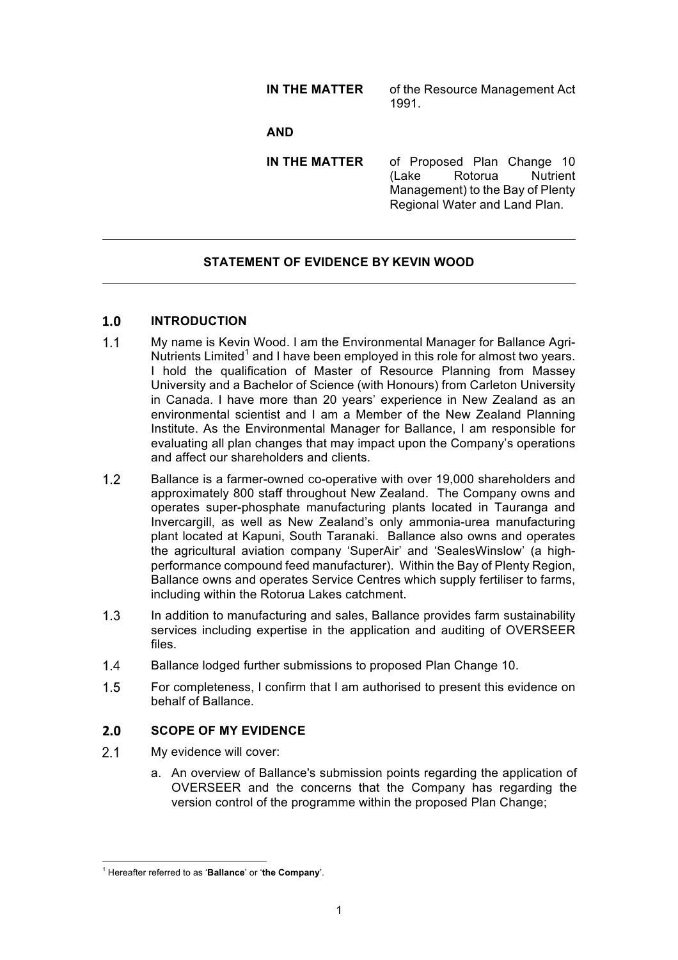# **IN THE MATTER** of the Resource Management Act 1991.

## **AND**

**IN THE MATTER** of Proposed Plan Change 10 (Lake Rotorua Nutrient Management) to the Bay of Plenty Regional Water and Land Plan.

## **STATEMENT OF EVIDENCE BY KEVIN WOOD**

#### $1.0$ **INTRODUCTION**

- $1.1$ My name is Kevin Wood. I am the Environmental Manager for Ballance Agri-Nutrients Limited<sup>1</sup> and I have been employed in this role for almost two years. I hold the qualification of Master of Resource Planning from Massey University and a Bachelor of Science (with Honours) from Carleton University in Canada. I have more than 20 years' experience in New Zealand as an environmental scientist and I am a Member of the New Zealand Planning Institute. As the Environmental Manager for Ballance, I am responsible for evaluating all plan changes that may impact upon the Company's operations and affect our shareholders and clients.
- $1.2$ Ballance is a farmer-owned co-operative with over 19,000 shareholders and approximately 800 staff throughout New Zealand. The Company owns and operates super-phosphate manufacturing plants located in Tauranga and Invercargill, as well as New Zealand's only ammonia-urea manufacturing plant located at Kapuni, South Taranaki. Ballance also owns and operates the agricultural aviation company 'SuperAir' and 'SealesWinslow' (a highperformance compound feed manufacturer). Within the Bay of Plenty Region, Ballance owns and operates Service Centres which supply fertiliser to farms, including within the Rotorua Lakes catchment.
- $1.3$ In addition to manufacturing and sales, Ballance provides farm sustainability services including expertise in the application and auditing of OVERSEER files.
- $1.4$ Ballance lodged further submissions to proposed Plan Change 10.
- $1.5$ For completeness, I confirm that I am authorised to present this evidence on behalf of Ballance.

#### $2.0$ **SCOPE OF MY EVIDENCE**

 $2.1$ My evidence will cover:

<u> 1989 - Johann Barn, mars ann an t-Amhain an t-Amhain an t-Amhain an t-Amhain an t-Amhain an t-Amhain an t-Amh</u>

a. An overview of Ballance's submission points regarding the application of OVERSEER and the concerns that the Company has regarding the version control of the programme within the proposed Plan Change;

<sup>1</sup> Hereafter referred to as '**Ballance**' or '**the Company**'.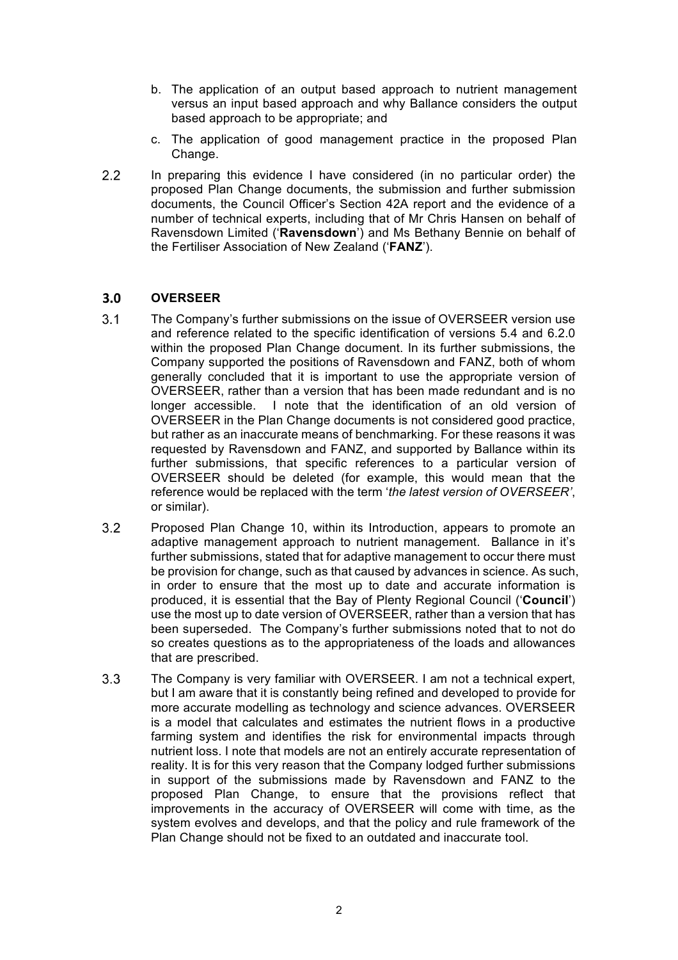- b. The application of an output based approach to nutrient management versus an input based approach and why Ballance considers the output based approach to be appropriate; and
- c. The application of good management practice in the proposed Plan Change.
- $2.2$ In preparing this evidence I have considered (in no particular order) the proposed Plan Change documents, the submission and further submission documents, the Council Officer's Section 42A report and the evidence of a number of technical experts, including that of Mr Chris Hansen on behalf of Ravensdown Limited ('**Ravensdown**') and Ms Bethany Bennie on behalf of the Fertiliser Association of New Zealand ('**FANZ**').

### **OVERSEER**  $3.0$

- $3.1$ The Company's further submissions on the issue of OVERSEER version use and reference related to the specific identification of versions 5.4 and 6.2.0 within the proposed Plan Change document. In its further submissions, the Company supported the positions of Ravensdown and FANZ, both of whom generally concluded that it is important to use the appropriate version of OVERSEER, rather than a version that has been made redundant and is no longer accessible. I note that the identification of an old version of OVERSEER in the Plan Change documents is not considered good practice, but rather as an inaccurate means of benchmarking. For these reasons it was requested by Ravensdown and FANZ, and supported by Ballance within its further submissions, that specific references to a particular version of OVERSEER should be deleted (for example, this would mean that the reference would be replaced with the term '*the latest version of OVERSEER'*, or similar).
- $3.2$ Proposed Plan Change 10, within its Introduction, appears to promote an adaptive management approach to nutrient management. Ballance in it's further submissions, stated that for adaptive management to occur there must be provision for change, such as that caused by advances in science. As such, in order to ensure that the most up to date and accurate information is produced, it is essential that the Bay of Plenty Regional Council ('**Council**') use the most up to date version of OVERSEER, rather than a version that has been superseded. The Company's further submissions noted that to not do so creates questions as to the appropriateness of the loads and allowances that are prescribed.
- $3.3$ The Company is very familiar with OVERSEER. I am not a technical expert, but I am aware that it is constantly being refined and developed to provide for more accurate modelling as technology and science advances. OVERSEER is a model that calculates and estimates the nutrient flows in a productive farming system and identifies the risk for environmental impacts through nutrient loss. I note that models are not an entirely accurate representation of reality. It is for this very reason that the Company lodged further submissions in support of the submissions made by Ravensdown and FANZ to the proposed Plan Change, to ensure that the provisions reflect that improvements in the accuracy of OVERSEER will come with time, as the system evolves and develops, and that the policy and rule framework of the Plan Change should not be fixed to an outdated and inaccurate tool.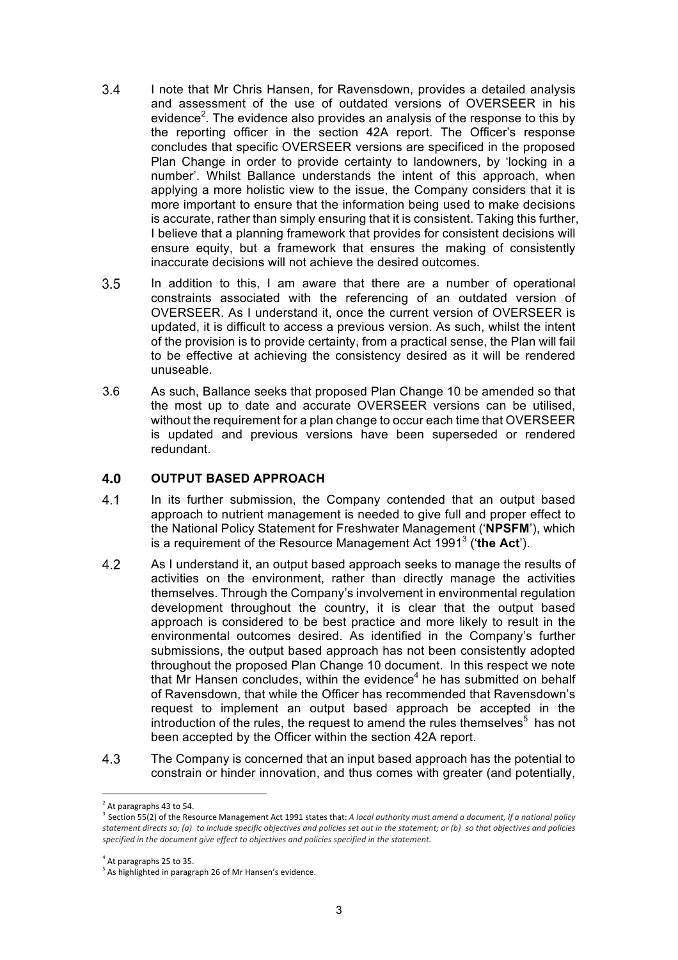- $3.4$ I note that Mr Chris Hansen, for Ravensdown, provides a detailed analysis and assessment of the use of outdated versions of OVERSEER in his evidence<sup>2</sup>. The evidence also provides an analysis of the response to this by the reporting officer in the section 42A report. The Officer's response concludes that specific OVERSEER versions are specificed in the proposed Plan Change in order to provide certainty to landowners, by 'locking in a number'. Whilst Ballance understands the intent of this approach, when applying a more holistic view to the issue, the Company considers that it is more important to ensure that the information being used to make decisions is accurate, rather than simply ensuring that it is consistent. Taking this further, I believe that a planning framework that provides for consistent decisions will ensure equity, but a framework that ensures the making of consistently inaccurate decisions will not achieve the desired outcomes.
- $3.5$ In addition to this, I am aware that there are a number of operational constraints associated with the referencing of an outdated version of OVERSEER. As I understand it, once the current version of OVERSEER is updated, it is difficult to access a previous version. As such, whilst the intent of the provision is to provide certainty, from a practical sense, the Plan will fail to be effective at achieving the consistency desired as it will be rendered unuseable.
- 3.6 As such, Ballance seeks that proposed Plan Change 10 be amended so that the most up to date and accurate OVERSEER versions can be utilised, without the requirement for a plan change to occur each time that OVERSEER is updated and previous versions have been superseded or rendered redundant.

#### $4.0$ **OUTPUT BASED APPROACH**

- 41 In its further submission, the Company contended that an output based approach to nutrient management is needed to give full and proper effect to the National Policy Statement for Freshwater Management ('**NPSFM**'), which is a requirement of the Resource Management Act 1991<sup>3</sup> ('**the Act**').
- $4.2$ As I understand it, an output based approach seeks to manage the results of activities on the environment, rather than directly manage the activities themselves. Through the Company's involvement in environmental regulation development throughout the country, it is clear that the output based approach is considered to be best practice and more likely to result in the environmental outcomes desired. As identified in the Company's further submissions, the output based approach has not been consistently adopted throughout the proposed Plan Change 10 document. In this respect we note that Mr Hansen concludes, within the evidence<sup>4</sup> he has submitted on behalf of Ravensdown, that while the Officer has recommended that Ravensdown's request to implement an output based approach be accepted in the introduction of the rules, the request to amend the rules themselves<sup>5</sup> has not been accepted by the Officer within the section 42A report.
- The Company is concerned that an input based approach has the potential to  $4.3$ constrain or hinder innovation, and thus comes with greater (and potentially,

<u> 1989 - Johann Barn, mars ann an t-Amhain an t-Amhain an t-Amhain an t-Amhain an t-Amhain an t-Amhain an t-Amh</u>

 $^{2}$  At paragraphs 43 to 54.

<sup>3</sup> Section 55(2) of the Resource Management Act 1991 states that: *A local authority must amend a document, if a national policy* statement directs so; (a) to include specific objectives and policies set out in the statement; or (b) so that objectives and policies specified in the document give effect to objectives and policies specified in the statement.

 $<sup>4</sup>$  At paragraphs 25 to 35.</sup>

 $<sup>5</sup>$  As highlighted in paragraph 26 of Mr Hansen's evidence.</sup>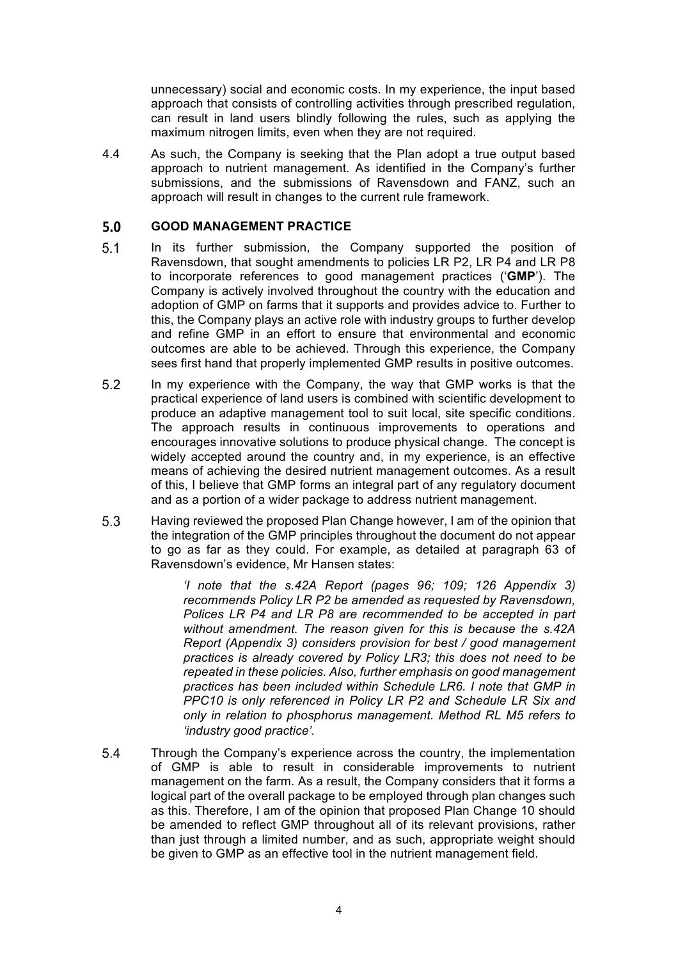unnecessary) social and economic costs. In my experience, the input based approach that consists of controlling activities through prescribed regulation, can result in land users blindly following the rules, such as applying the maximum nitrogen limits, even when they are not required.

4.4 As such, the Company is seeking that the Plan adopt a true output based approach to nutrient management. As identified in the Company's further submissions, and the submissions of Ravensdown and FANZ, such an approach will result in changes to the current rule framework.

#### $5.0$ **GOOD MANAGEMENT PRACTICE**

- $5.1$ In its further submission, the Company supported the position of Ravensdown, that sought amendments to policies LR P2, LR P4 and LR P8 to incorporate references to good management practices ('**GMP**'). The Company is actively involved throughout the country with the education and adoption of GMP on farms that it supports and provides advice to. Further to this, the Company plays an active role with industry groups to further develop and refine GMP in an effort to ensure that environmental and economic outcomes are able to be achieved. Through this experience, the Company sees first hand that properly implemented GMP results in positive outcomes.
- $5.2$ In my experience with the Company, the way that GMP works is that the practical experience of land users is combined with scientific development to produce an adaptive management tool to suit local, site specific conditions. The approach results in continuous improvements to operations and encourages innovative solutions to produce physical change. The concept is widely accepted around the country and, in my experience, is an effective means of achieving the desired nutrient management outcomes. As a result of this, I believe that GMP forms an integral part of any regulatory document and as a portion of a wider package to address nutrient management.
- Having reviewed the proposed Plan Change however, I am of the opinion that  $5.3$ the integration of the GMP principles throughout the document do not appear to go as far as they could. For example, as detailed at paragraph 63 of Ravensdown's evidence, Mr Hansen states:

*'I note that the s.42A Report (pages 96; 109; 126 Appendix 3) recommends Policy LR P2 be amended as requested by Ravensdown, Polices LR P4 and LR P8 are recommended to be accepted in part without amendment. The reason given for this is because the s.42A Report (Appendix 3) considers provision for best / good management practices is already covered by Policy LR3; this does not need to be repeated in these policies. Also, further emphasis on good management practices has been included within Schedule LR6. I note that GMP in PPC10 is only referenced in Policy LR P2 and Schedule LR Six and only in relation to phosphorus management. Method RL M5 refers to 'industry good practice'.* 

5.4 Through the Company's experience across the country, the implementation of GMP is able to result in considerable improvements to nutrient management on the farm. As a result, the Company considers that it forms a logical part of the overall package to be employed through plan changes such as this. Therefore, I am of the opinion that proposed Plan Change 10 should be amended to reflect GMP throughout all of its relevant provisions, rather than just through a limited number, and as such, appropriate weight should be given to GMP as an effective tool in the nutrient management field.